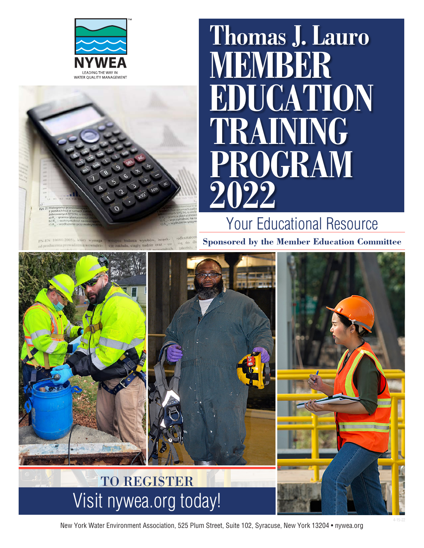



# **Thomas J. Lauro BER EDUCATION TRAINING PROGRAM 2022**

Your Educational Resource

**Sponsored by the Member Education Committee**



New York Water Environment Association, 525 Plum Street, Suite 102, Syracuse, New York 13204 • nywea.org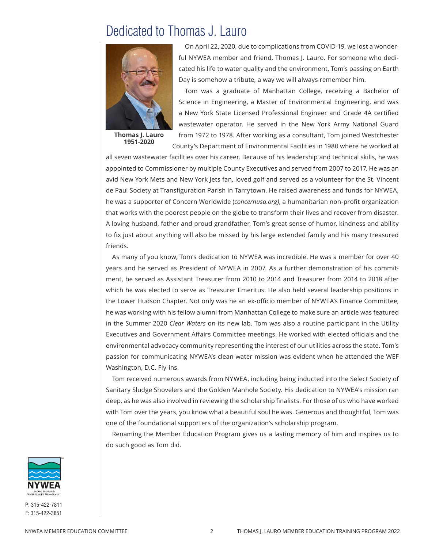### Dedicated to Thomas J. Lauro



**Thomas J. Lauro 1951-2020**

On April 22, 2020, due to complications from COVID-19, we lost a wonderful NYWEA member and friend, Thomas J. Lauro. For someone who dedicated his life to water quality and the environment, Tom's passing on Earth Day is somehow a tribute, a way we will always remember him.

Tom was a graduate of Manhattan College, receiving a Bachelor of Science in Engineering, a Master of Environmental Engineering, and was a New York State Licensed Professional Engineer and Grade 4A certified wastewater operator. He served in the New York Army National Guard from 1972 to 1978. After working as a consultant, Tom joined Westchester County's Department of Environmental Facilities in 1980 where he worked at

all seven wastewater facilities over his career. Because of his leadership and technical skills, he was appointed to Commissioner by multiple County Executives and served from 2007 to 2017. He was an avid New York Mets and New York Jets fan, loved golf and served as a volunteer for the St. Vincent de Paul Society at Transfiguration Parish in Tarrytown. He raised awareness and funds for NYWEA, he was a supporter of Concern Worldwide (*concernusa.org)*, a humanitarian non-profit organization that works with the poorest people on the globe to transform their lives and recover from disaster. A loving husband, father and proud grandfather, Tom's great sense of humor, kindness and ability to fix just about anything will also be missed by his large extended family and his many treasured friends.

As many of you know, Tom's dedication to NYWEA was incredible. He was a member for over 40 years and he served as President of NYWEA in 2007. As a further demonstration of his commitment, he served as Assistant Treasurer from 2010 to 2014 and Treasurer from 2014 to 2018 after which he was elected to serve as Treasurer Emeritus. He also held several leadership positions in the Lower Hudson Chapter. Not only was he an ex-officio member of NYWEA's Finance Committee, he was working with his fellow alumni from Manhattan College to make sure an article was featured in the Summer 2020 *Clear Waters* on its new lab. Tom was also a routine participant in the Utility Executives and Government Affairs Committee meetings. He worked with elected officials and the environmental advocacy community representing the interest of our utilities across the state. Tom's passion for communicating NYWEA's clean water mission was evident when he attended the WEF Washington, D.C. Fly-ins.

Tom received numerous awards from NYWEA, including being inducted into the Select Society of Sanitary Sludge Shovelers and the Golden Manhole Society. His dedication to NYWEA's mission ran deep, as he was also involved in reviewing the scholarship finalists. For those of us who have worked with Tom over the years, you know what a beautiful soul he was. Generous and thoughtful, Tom was one of the foundational supporters of the organization's scholarship program.

Renaming the Member Education Program gives us a lasting memory of him and inspires us to do such good as Tom did.

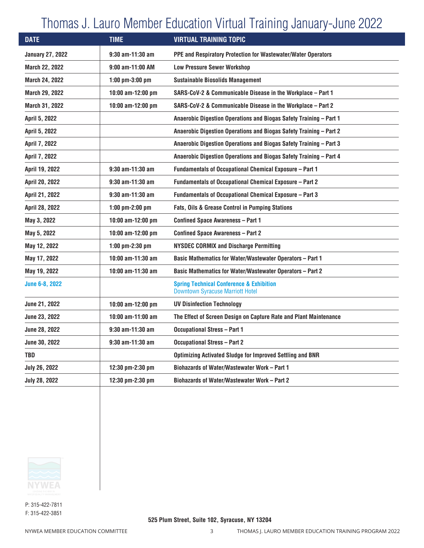# Thomas J. Lauro Member Education Virtual Training January-June 2022

| <b>DATE</b>             | <b>TIME</b>         | <b>VIRTUAL TRAINING TOPIC</b>                                                                  |
|-------------------------|---------------------|------------------------------------------------------------------------------------------------|
| <b>January 27, 2022</b> | $9:30$ am-11:30 am  | PPE and Respiratory Protection for Wastewater/Water Operators                                  |
| <b>March 22, 2022</b>   | 9:00 am-11:00 AM    | <b>Low Pressure Sewer Workshop</b>                                                             |
| March 24, 2022          | $1:00$ pm-3:00 pm   | <b>Sustainable Biosolids Management</b>                                                        |
| March 29, 2022          | 10:00 am-12:00 pm   | SARS-CoV-2 & Communicable Disease in the Workplace - Part 1                                    |
| March 31, 2022          | 10:00 am-12:00 pm   | SARS-CoV-2 & Communicable Disease in the Workplace - Part 2                                    |
| April 5, 2022           |                     | Anaerobic Digestion Operations and Biogas Safety Training - Part 1                             |
| April 5, 2022           |                     | Anaerobic Digestion Operations and Biogas Safety Training - Part 2                             |
| April 7, 2022           |                     | Anaerobic Digestion Operations and Biogas Safety Training - Part 3                             |
| April 7, 2022           |                     | Anaerobic Digestion Operations and Biogas Safety Training - Part 4                             |
| April 19, 2022          | $9:30$ am-11:30 am  | Fundamentals of Occupational Chemical Exposure - Part 1                                        |
| April 20, 2022          | $9:30$ am-11:30 am  | <b>Fundamentals of Occupational Chemical Exposure – Part 2</b>                                 |
| April 21, 2022          | 9:30 am-11:30 am    | Fundamentals of Occupational Chemical Exposure - Part 3                                        |
| April 28, 2022          | $1:00$ pm-2:00 pm   | Fats, Oils & Grease Control in Pumping Stations                                                |
| May 3, 2022             | $10:00$ am-12:00 pm | <b>Confined Space Awareness - Part 1</b>                                                       |
| May 5, 2022             | 10:00 am-12:00 pm   | <b>Confined Space Awareness - Part 2</b>                                                       |
| May 12, 2022            | 1:00 pm-2:30 pm     | <b>NYSDEC CORMIX and Discharge Permitting</b>                                                  |
| May 17, 2022            | 10:00 am-11:30 am   | <b>Basic Mathematics for Water/Wastewater Operators - Part 1</b>                               |
| May 19, 2022            | 10:00 am-11:30 am   | <b>Basic Mathematics for Water/Wastewater Operators - Part 2</b>                               |
| <b>June 6-8, 2022</b>   |                     | <b>Spring Technical Conference &amp; Exhibition</b><br><b>Downtown Syracuse Marriott Hotel</b> |
| June 21, 2022           | 10:00 am-12:00 pm   | <b>UV Disinfection Technology</b>                                                              |
| June 23, 2022           | 10:00 am-11:00 am   | The Effect of Screen Design on Capture Rate and Plant Maintenance                              |
| June 28, 2022           | $9:30$ am-11:30 am  | <b>Occupational Stress - Part 1</b>                                                            |
| June 30, 2022           | $9:30$ am-11:30 am  | <b>Occupational Stress - Part 2</b>                                                            |
| <b>TBD</b>              |                     | <b>Optimizing Activated Sludge for Improved Settling and BNR</b>                               |
| <b>July 26, 2022</b>    | 12:30 pm-2:30 pm    | Biohazards of Water/Wastewater Work - Part 1                                                   |
| <b>July 28, 2022</b>    | 12:30 pm-2:30 pm    | Biohazards of Water/Wastewater Work - Part 2                                                   |
|                         |                     |                                                                                                |

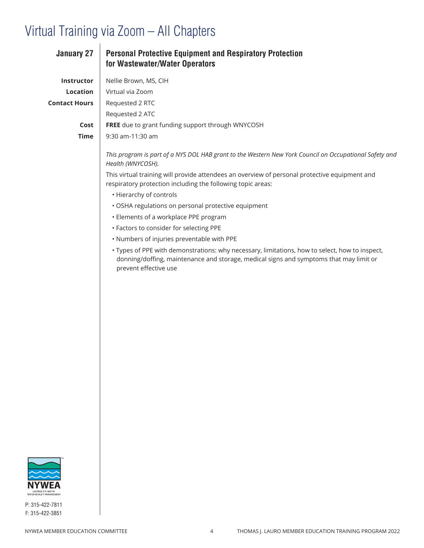| <b>January 27</b>         | <b>Personal Protective Equipment and Respiratory Protection</b><br>for Wastewater/Water Operators                                                                                                                 |
|---------------------------|-------------------------------------------------------------------------------------------------------------------------------------------------------------------------------------------------------------------|
| Instructor                | Nellie Brown, MS, CIH                                                                                                                                                                                             |
| Location                  | Virtual via Zoom                                                                                                                                                                                                  |
| <b>Contact Hours</b>      | Requested 2 RTC                                                                                                                                                                                                   |
|                           | Requested 2 ATC                                                                                                                                                                                                   |
| Cost                      | FREE due to grant funding support through WNYCOSH                                                                                                                                                                 |
| <b>Time</b>               | 9:30 am-11:30 am                                                                                                                                                                                                  |
|                           | This program is part of a NYS DOL HAB grant to the Western New York Council on Occupational Safety and<br>Health (WNYCOSH).                                                                                       |
|                           | This virtual training will provide attendees an overview of personal protective equipment and<br>respiratory protection including the following topic areas:                                                      |
|                           | • Hierarchy of controls                                                                                                                                                                                           |
|                           | · OSHA regulations on personal protective equipment                                                                                                                                                               |
|                           | • Elements of a workplace PPE program                                                                                                                                                                             |
|                           | • Factors to consider for selecting PPE                                                                                                                                                                           |
|                           | . Numbers of injuries preventable with PPE                                                                                                                                                                        |
|                           | · Types of PPE with demonstrations: why necessary, limitations, how to select, how to inspect,<br>donning/doffing, maintenance and storage, medical signs and symptoms that may limit or<br>prevent effective use |
|                           |                                                                                                                                                                                                                   |
|                           |                                                                                                                                                                                                                   |
|                           |                                                                                                                                                                                                                   |
|                           |                                                                                                                                                                                                                   |
|                           |                                                                                                                                                                                                                   |
|                           |                                                                                                                                                                                                                   |
|                           |                                                                                                                                                                                                                   |
|                           |                                                                                                                                                                                                                   |
|                           |                                                                                                                                                                                                                   |
|                           |                                                                                                                                                                                                                   |
|                           |                                                                                                                                                                                                                   |
|                           |                                                                                                                                                                                                                   |
|                           |                                                                                                                                                                                                                   |
|                           |                                                                                                                                                                                                                   |
|                           |                                                                                                                                                                                                                   |
| $\approx$<br><b>NYWEA</b> |                                                                                                                                                                                                                   |

LEADING THE WAY IN<br>WATER QUALITY MANAGEMENT P: 315-422-7811 F: 315-422-3851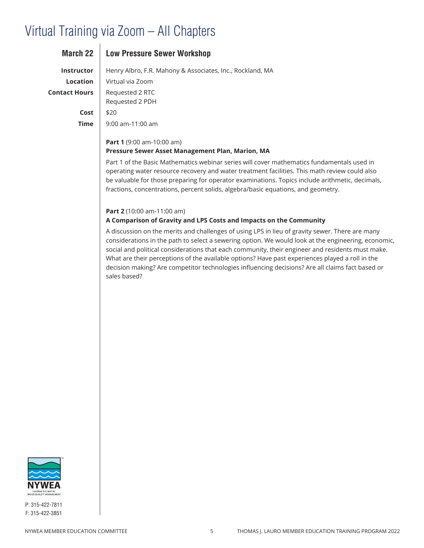| March 22             | <b>Low Pressure Sewer Workshop</b>                                                                                                                                                                                                                                                                                                                                                  |
|----------------------|-------------------------------------------------------------------------------------------------------------------------------------------------------------------------------------------------------------------------------------------------------------------------------------------------------------------------------------------------------------------------------------|
| <b>Instructor</b>    | Henry Albro, F.R. Mahony & Associates, Inc., Rockland, MA                                                                                                                                                                                                                                                                                                                           |
| Location             | Virtual via Zoom                                                                                                                                                                                                                                                                                                                                                                    |
| <b>Contact Hours</b> | Requested 2 RTC<br>Requested 2 PDH                                                                                                                                                                                                                                                                                                                                                  |
| Cost                 | \$20                                                                                                                                                                                                                                                                                                                                                                                |
| Time                 | $9:00$ am-11:00 am                                                                                                                                                                                                                                                                                                                                                                  |
|                      | <b>Part 1</b> (9:00 am-10:00 am)<br>Pressure Sewer Asset Management Plan, Marion, MA                                                                                                                                                                                                                                                                                                |
|                      | Part 1 of the Basic Mathematics webinar series will cover mathematics fundamentals used in<br>operating water resource recovery and water treatment facilities. This math review could also<br>be valuable for those preparing for operator examinations. Topics include arithmetic, decimals,<br>fractions, concentrations, percent solids, algebra/basic equations, and geometry. |

#### **Part 2** (10:00 am-11:00 am)

### **A Comparison of Gravity and LPS Costs and Impacts on the Community**

A discussion on the merits and challenges of using LPS in lieu of gravity sewer. There are many considerations in the path to select a sewering option. We would look at the engineering, economic, social and political considerations that each community, their engineer and residents must make. What are their perceptions of the available options? Have past experiences played a roll in the decision making? Are competitor technologies influencing decisions? Are all claims fact based or sales based?

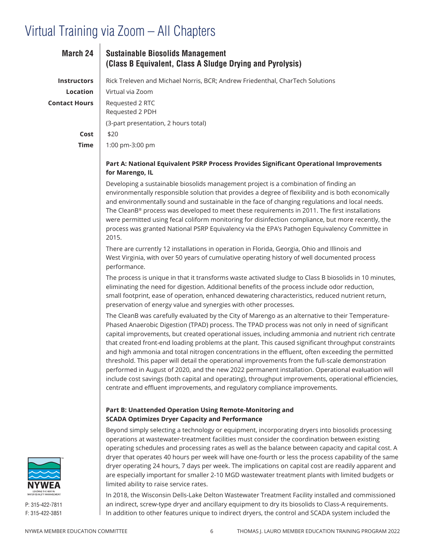| <b>March 24</b>      | <b>Sustainable Biosolids Management</b><br>(Class B Equivalent, Class A Sludge Drying and Pyrolysis)      |
|----------------------|-----------------------------------------------------------------------------------------------------------|
| <b>Instructors</b>   | Rick Treleven and Michael Norris, BCR; Andrew Friedenthal, CharTech Solutions                             |
| Location             | Virtual via Zoom                                                                                          |
| <b>Contact Hours</b> | Requested 2 RTC<br>Requested 2 PDH                                                                        |
|                      | (3-part presentation, 2 hours total)                                                                      |
| Cost                 | \$20                                                                                                      |
| Time                 | 1:00 pm-3:00 pm                                                                                           |
|                      | Part A: National Equivalent PSRP Process Provides Significant Operational Improvements<br>for Marengo, IL |

Developing a sustainable biosolids management project is a combination of finding an environmentally responsible solution that provides a degree of flexibility and is both economically and environmentally sound and sustainable in the face of changing regulations and local needs. The CleanB® process was developed to meet these requirements in 2011. The first installations were permitted using fecal coliform monitoring for disinfection compliance, but more recently, the process was granted National PSRP Equivalency via the EPA's Pathogen Equivalency Committee in 2015.

There are currently 12 installations in operation in Florida, Georgia, Ohio and Illinois and West Virginia, with over 50 years of cumulative operating history of well documented process performance.

The process is unique in that it transforms waste activated sludge to Class B biosolids in 10 minutes, eliminating the need for digestion. Additional benefits of the process include odor reduction, small footprint, ease of operation, enhanced dewatering characteristics, reduced nutrient return, preservation of energy value and synergies with other processes.

The CleanB was carefully evaluated by the City of Marengo as an alternative to their Temperature-Phased Anaerobic Digestion (TPAD) process. The TPAD process was not only in need of significant capital improvements, but created operational issues, including ammonia and nutrient rich centrate that created front-end loading problems at the plant. This caused significant throughput constraints and high ammonia and total nitrogen concentrations in the effluent, often exceeding the permitted threshold. This paper will detail the operational improvements from the full-scale demonstration performed in August of 2020, and the new 2022 permanent installation. Operational evaluation will include cost savings (both capital and operating), throughput improvements, operational efficiencies, centrate and effluent improvements, and regulatory compliance improvements.

### **Part B: Unattended Operation Using Remote-Monitoring and SCADA Optimizes Dryer Capacity and Performance**

Beyond simply selecting a technology or equipment, incorporating dryers into biosolids processing operations at wastewater-treatment facilities must consider the coordination between existing operating schedules and processing rates as well as the balance between capacity and capital cost. A dryer that operates 40 hours per week will have one-fourth or less the process capability of the same dryer operating 24 hours, 7 days per week. The implications on capital cost are readily apparent and are especially important for smaller 2-10 MGD wastewater treatment plants with limited budgets or limited ability to raise service rates.

In 2018, the Wisconsin Dells-Lake Delton Wastewater Treatment Facility installed and commissioned an indirect, screw-type dryer and ancillary equipment to dry its biosolids to Class-A requirements. In addition to other features unique to indirect dryers, the control and SCADA system included the

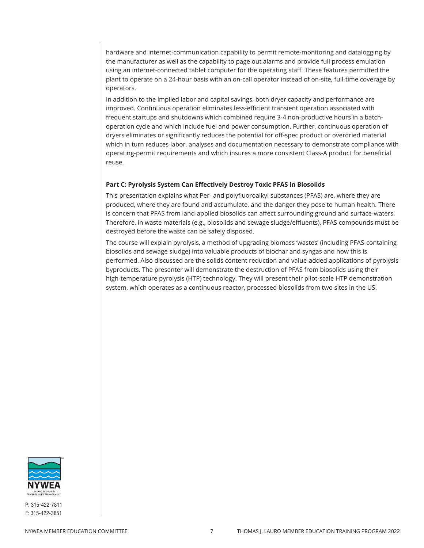hardware and internet-communication capability to permit remote-monitoring and datalogging by the manufacturer as well as the capability to page out alarms and provide full process emulation using an internet-connected tablet computer for the operating staff. These features permitted the plant to operate on a 24-hour basis with an on-call operator instead of on-site, full-time coverage by operators.

In addition to the implied labor and capital savings, both dryer capacity and performance are improved. Continuous operation eliminates less-efficient transient operation associated with frequent startups and shutdowns which combined require 3-4 non-productive hours in a batchoperation cycle and which include fuel and power consumption. Further, continuous operation of dryers eliminates or significantly reduces the potential for off-spec product or overdried material which in turn reduces labor, analyses and documentation necessary to demonstrate compliance with operating-permit requirements and which insures a more consistent Class-A product for beneficial reuse.

### **Part C: Pyrolysis System Can Effectively Destroy Toxic PFAS in Biosolids**

This presentation explains what Per- and polyfluoroalkyl substances (PFAS) are, where they are produced, where they are found and accumulate, and the danger they pose to human health. There is concern that PFAS from land-applied biosolids can affect surrounding ground and surface-waters. Therefore, in waste materials (e.g., biosolids and sewage sludge/effluents), PFAS compounds must be destroyed before the waste can be safely disposed.

The course will explain pyrolysis, a method of upgrading biomass 'wastes' (including PFAS-containing biosolids and sewage sludge) into valuable products of biochar and syngas and how this is performed. Also discussed are the solids content reduction and value-added applications of pyrolysis byproducts. The presenter will demonstrate the destruction of PFAS from biosolids using their high-temperature pyrolysis (HTP) technology. They will present their pilot-scale HTP demonstration system, which operates as a continuous reactor, processed biosolids from two sites in the US.

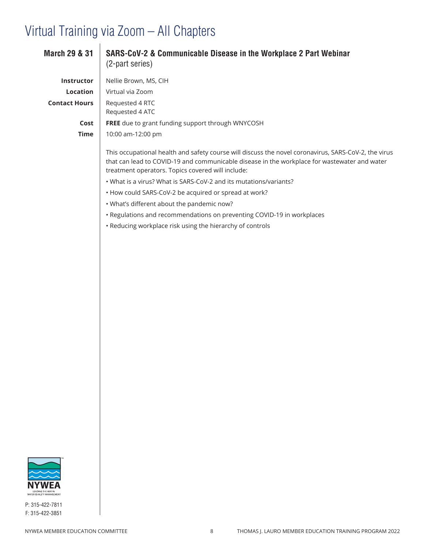| <b>March 29 &amp; 31</b> | SARS-CoV-2 & Communicable Disease in the Workplace 2 Part Webinar<br>(2-part series)                                                                                                                                                                      |
|--------------------------|-----------------------------------------------------------------------------------------------------------------------------------------------------------------------------------------------------------------------------------------------------------|
| Instructor               | Nellie Brown, MS, CIH                                                                                                                                                                                                                                     |
| Location                 | Virtual via Zoom                                                                                                                                                                                                                                          |
| <b>Contact Hours</b>     | Requested 4 RTC<br>Requested 4 ATC                                                                                                                                                                                                                        |
| Cost                     | FREE due to grant funding support through WNYCOSH                                                                                                                                                                                                         |
| <b>Time</b>              | 10:00 am-12:00 pm                                                                                                                                                                                                                                         |
|                          | This occupational health and safety course will discuss the novel coronavirus, SARS-CoV-2, the virus<br>that can lead to COVID-19 and communicable disease in the workplace for wastewater and water<br>treatment operators. Topics covered will include: |
|                          | . What is a virus? What is SARS-CoV-2 and its mutations/variants?                                                                                                                                                                                         |
|                          | • How could SARS-CoV-2 be acquired or spread at work?                                                                                                                                                                                                     |
|                          | . What's different about the pandemic now?                                                                                                                                                                                                                |
|                          | • Regulations and recommendations on preventing COVID-19 in workplaces                                                                                                                                                                                    |
|                          | • Reducing workplace risk using the hierarchy of controls                                                                                                                                                                                                 |
|                          |                                                                                                                                                                                                                                                           |
|                          |                                                                                                                                                                                                                                                           |
|                          |                                                                                                                                                                                                                                                           |
|                          |                                                                                                                                                                                                                                                           |
|                          |                                                                                                                                                                                                                                                           |
|                          |                                                                                                                                                                                                                                                           |
|                          |                                                                                                                                                                                                                                                           |
|                          |                                                                                                                                                                                                                                                           |
|                          |                                                                                                                                                                                                                                                           |
|                          |                                                                                                                                                                                                                                                           |
|                          |                                                                                                                                                                                                                                                           |
|                          |                                                                                                                                                                                                                                                           |
|                          |                                                                                                                                                                                                                                                           |
|                          |                                                                                                                                                                                                                                                           |
|                          |                                                                                                                                                                                                                                                           |
|                          |                                                                                                                                                                                                                                                           |
|                          |                                                                                                                                                                                                                                                           |
|                          |                                                                                                                                                                                                                                                           |
|                          |                                                                                                                                                                                                                                                           |
|                          |                                                                                                                                                                                                                                                           |
|                          |                                                                                                                                                                                                                                                           |

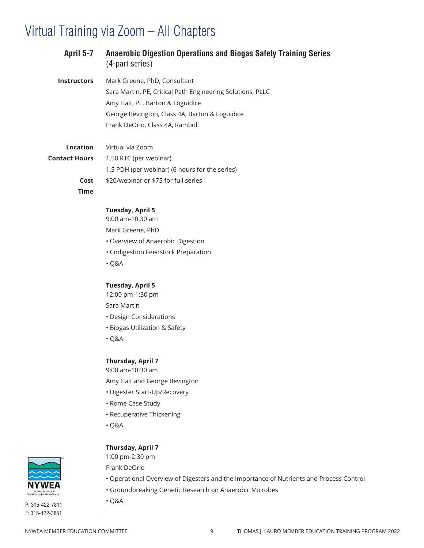| April 5-7               | <b>Anaerobic Digestion Operations and Biogas Safety Training Series</b><br>(4-part series) |
|-------------------------|--------------------------------------------------------------------------------------------|
| <b>Instructors</b>      | Mark Greene, PhD, Consultant                                                               |
|                         | Sara Martin, PE, Critical Path Engineering Solutions, PLLC                                 |
|                         | Amy Hait, PE, Barton & Loguidice                                                           |
|                         | George Bevington, Class 4A, Barton & Loguidice                                             |
|                         | Frank DeOrio, Class 4A, Ramboll                                                            |
| <b>Location</b>         | Virtual via Zoom                                                                           |
| <b>Contact Hours</b>    | 1.50 RTC (per webinar)                                                                     |
|                         | 1.5 PDH (per webinar) (6 hours for the series)                                             |
| Cost                    | \$20/webinar or \$75 for full series                                                       |
| <b>Time</b>             |                                                                                            |
|                         | <b>Tuesday, April 5</b><br>9:00 am-10:30 am                                                |
|                         |                                                                                            |
|                         | Mark Greene, PhD                                                                           |
|                         | • Overview of Anaerobic Digestion                                                          |
|                         | • Codigestion Feedstock Preparation                                                        |
|                         | $\cdot$ Q&A                                                                                |
|                         | <b>Tuesday, April 5</b>                                                                    |
|                         | 12:00 pm-1:30 pm                                                                           |
|                         | Sara Martin                                                                                |
|                         | • Design Considerations                                                                    |
|                         | · Biogas Utilization & Safety                                                              |
|                         | $\cdot$ Q&A                                                                                |
|                         | <b>Thursday, April 7</b>                                                                   |
|                         | 9:00 am-10:30 am                                                                           |
|                         | Amy Hait and George Bevington                                                              |
|                         | • Digester Start-Up/Recovery                                                               |
|                         | • Rome Case Study                                                                          |
|                         | • Recuperative Thickening                                                                  |
|                         | $\cdot$ Q&A                                                                                |
|                         | <b>Thursday, April 7</b>                                                                   |
|                         | 1:00 pm-2:30 pm                                                                            |
|                         | Frank DeOrio                                                                               |
|                         | . Operational Overview of Digesters and the Importance of Nutrients and Process Control    |
| VATER OUALITY MANAGEMEN | · Groundbreaking Genetic Research on Anaerobic Microbes                                    |

P: 315-422-7811 F: 315-422-3851

• Q&A

NYWEA MEMBER EDUCATION COMMITTEE **1200 SHOWARD 1200 SHOWAS AND THOMAS** J. LAURO MEMBER EDUCATION TRAINING PROGRAM 2022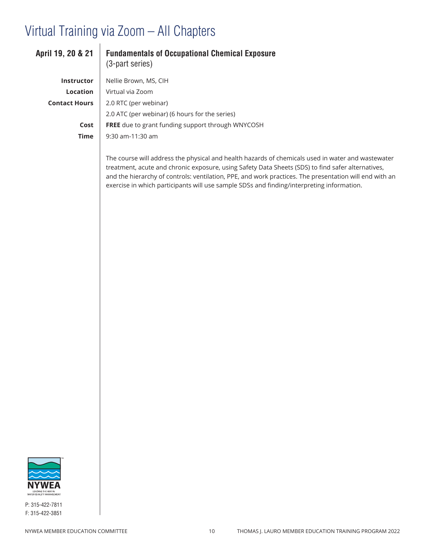| April 19, 20 & 21    | <b>Fundamentals of Occupational Chemical Exposure</b><br>(3-part series)                                                                                                                                                                                                                                         |
|----------------------|------------------------------------------------------------------------------------------------------------------------------------------------------------------------------------------------------------------------------------------------------------------------------------------------------------------|
| <b>Instructor</b>    | Nellie Brown, MS, CIH                                                                                                                                                                                                                                                                                            |
| <b>Location</b>      | Virtual via Zoom                                                                                                                                                                                                                                                                                                 |
| <b>Contact Hours</b> | 2.0 RTC (per webinar)                                                                                                                                                                                                                                                                                            |
|                      | 2.0 ATC (per webinar) (6 hours for the series)                                                                                                                                                                                                                                                                   |
| Cost                 | <b>FREE</b> due to grant funding support through WNYCOSH                                                                                                                                                                                                                                                         |
| <b>Time</b>          | $9:30$ am-11:30 am                                                                                                                                                                                                                                                                                               |
|                      | The course will address the physical and health hazards of chemicals used in water and wastewater<br>treatment, acute and chronic exposure, using Safety Data Sheets (SDS) to find safer alternatives,<br>and the hierarchy of controls: ventilation, PPE, and work practices. The presentation will end with an |

exercise in which participants will use sample SDSs and finding/interpreting information.

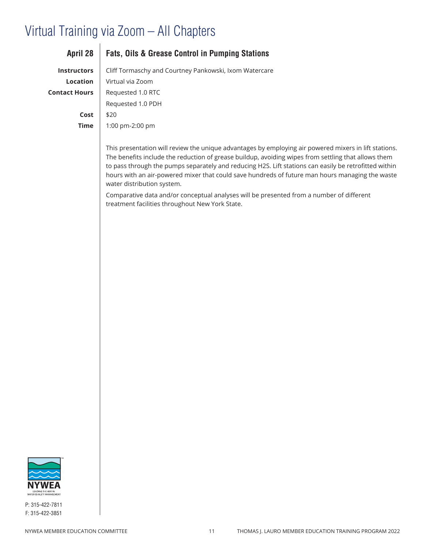| <b>April 28</b>      | <b>Fats, Oils &amp; Grease Control in Pumping Stations</b>  |
|----------------------|-------------------------------------------------------------|
| <b>Instructors</b>   | Cliff Tormaschy and Courtney Pankowski, Ixom Watercare      |
| Location             | Virtual via Zoom                                            |
| <b>Contact Hours</b> | Requested 1.0 RTC                                           |
|                      | Requested 1.0 PDH                                           |
| Cost                 | \$20                                                        |
| <b>Time</b>          | 1:00 pm-2:00 pm                                             |
|                      |                                                             |
|                      | 美しょう しょうしょう しょうようしょう こうせいじょう まんこうしょ しょうしょう しょうしょう しょうしょうしょう |

This presentation will review the unique advantages by employing air powered mixers in lift stations. The benefits include the reduction of grease buildup, avoiding wipes from settling that allows them to pass through the pumps separately and reducing H2S. Lift stations can easily be retrofitted within hours with an air-powered mixer that could save hundreds of future man hours managing the waste water distribution system.

Comparative data and/or conceptual analyses will be presented from a number of different treatment facilities throughout New York State.

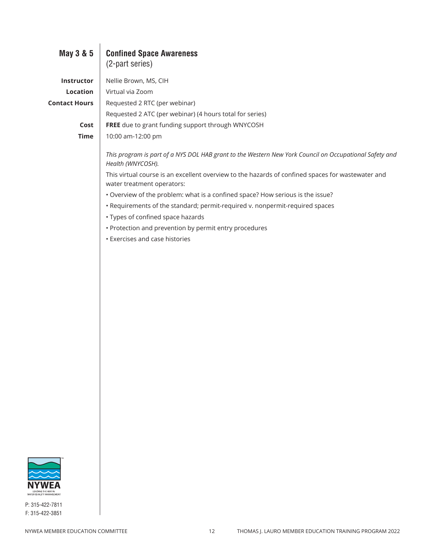| May 3 & 5            | <b>Confined Space Awareness</b>                                                                                                 |
|----------------------|---------------------------------------------------------------------------------------------------------------------------------|
|                      | (2-part series)                                                                                                                 |
| Instructor           | Nellie Brown, MS, CIH                                                                                                           |
| Location             | Virtual via Zoom                                                                                                                |
| <b>Contact Hours</b> | Requested 2 RTC (per webinar)                                                                                                   |
|                      | Requested 2 ATC (per webinar) (4 hours total for series)                                                                        |
| Cost                 | FREE due to grant funding support through WNYCOSH                                                                               |
| <b>Time</b>          | 10:00 am-12:00 pm                                                                                                               |
|                      | This program is part of a NYS DOL HAB grant to the Western New York Council on Occupational Safety and<br>Health (WNYCOSH).     |
|                      | This virtual course is an excellent overview to the hazards of confined spaces for wastewater and<br>water treatment operators: |
|                      | • Overview of the problem: what is a confined space? How serious is the issue?                                                  |
|                      | • Requirements of the standard; permit-required v. nonpermit-required spaces                                                    |
|                      | • Types of confined space hazards                                                                                               |
|                      | • Protection and prevention by permit entry procedures                                                                          |
|                      | <b>· Exercises and case histories</b>                                                                                           |
|                      |                                                                                                                                 |
|                      |                                                                                                                                 |
|                      |                                                                                                                                 |
|                      |                                                                                                                                 |
|                      |                                                                                                                                 |
|                      |                                                                                                                                 |
|                      |                                                                                                                                 |
|                      |                                                                                                                                 |
|                      |                                                                                                                                 |
|                      |                                                                                                                                 |
|                      |                                                                                                                                 |
|                      |                                                                                                                                 |
|                      |                                                                                                                                 |
|                      |                                                                                                                                 |
|                      |                                                                                                                                 |
|                      |                                                                                                                                 |
|                      |                                                                                                                                 |
|                      |                                                                                                                                 |

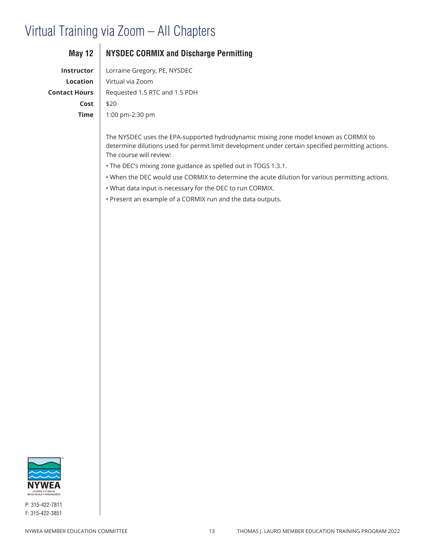| Instructor           |  |
|----------------------|--|
| Location             |  |
| <b>Contact Hours</b> |  |
| Cost                 |  |
| Time                 |  |
|                      |  |

### **May 12 NYSDEC CORMIX and Discharge Permitting**

Lorraine Gregory, PE, NYSDEC **Location** Virtual via Zoom **Contact Hours** Requested 1.5 RTC and 1.5 PDH **Cost** \$20 **Time** 1:00 pm-2:30 pm

The NYSDEC uses the EPA-supported hydrodynamic mixing zone model known as CORMIX to determine dilutions used for permit limit development under certain specified permitting actions. The course will review:

- The DEC's mixing zone guidance as spelled out in TOGS 1.3.1.
- When the DEC would use CORMIX to determine the acute dilution for various permitting actions.
- What data input is necessary for the DEC to run CORMIX.
- Present an example of a CORMIX run and the data outputs.

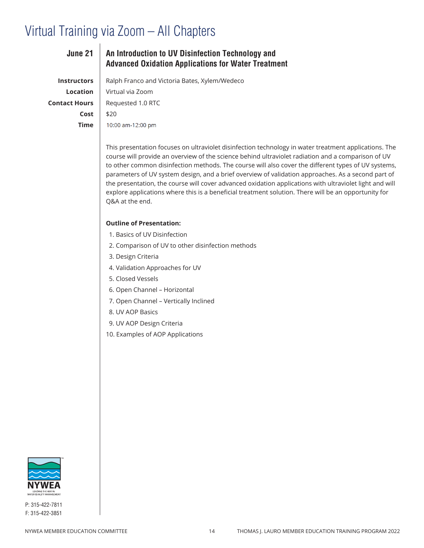| June 21              | An Introduction to UV Disinfection Technology and<br><b>Advanced Oxidation Applications for Water Treatment</b> |
|----------------------|-----------------------------------------------------------------------------------------------------------------|
| <b>Instructors</b>   | Ralph Franco and Victoria Bates, Xylem/Wedeco                                                                   |
| Location             | Virtual via Zoom                                                                                                |
| <b>Contact Hours</b> | Requested 1.0 RTC                                                                                               |
| Cost                 | \$20                                                                                                            |
| Time                 | 10:00 am-12:00 pm                                                                                               |

This presentation focuses on ultraviolet disinfection technology in water treatment applications. The course will provide an overview of the science behind ultraviolet radiation and a comparison of UV to other common disinfection methods. The course will also cover the different types of UV systems, parameters of UV system design, and a brief overview of validation approaches. As a second part of the presentation, the course will cover advanced oxidation applications with ultraviolet light and will explore applications where this is a beneficial treatment solution. There will be an opportunity for Q&A at the end.

#### **Outline of Presentation:**

- 1. Basics of UV Disinfection
- 2. Comparison of UV to other disinfection methods
- 3. Design Criteria
- 4. Validation Approaches for UV
- 5. Closed Vessels
- 6. Open Channel Horizontal
- 7. Open Channel Vertically Inclined
- 8. UV AOP Basics
- 9. UV AOP Design Criteria
- 10. Examples of AOP Applications

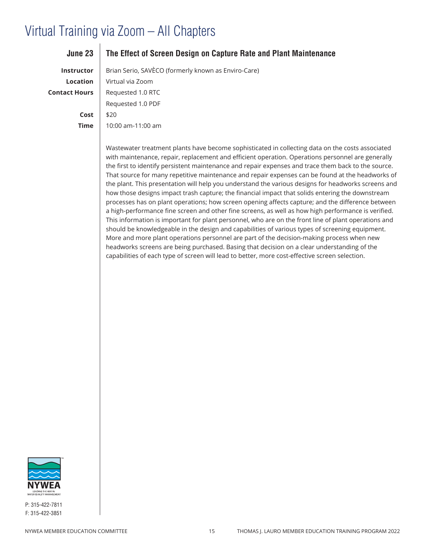| June 23              | The Effect of Screen Design on Capture Rate and Plant Maintenance                                                                                                                                                                                                                                                                                                                                                |
|----------------------|------------------------------------------------------------------------------------------------------------------------------------------------------------------------------------------------------------------------------------------------------------------------------------------------------------------------------------------------------------------------------------------------------------------|
| Instructor           | Brian Serio, SAVÈCO (formerly known as Enviro-Care)                                                                                                                                                                                                                                                                                                                                                              |
| Location             | Virtual via Zoom                                                                                                                                                                                                                                                                                                                                                                                                 |
| <b>Contact Hours</b> | Requested 1.0 RTC                                                                                                                                                                                                                                                                                                                                                                                                |
|                      | Requested 1.0 PDF                                                                                                                                                                                                                                                                                                                                                                                                |
| Cost                 | \$20                                                                                                                                                                                                                                                                                                                                                                                                             |
| <b>Time</b>          | 10:00 am-11:00 am                                                                                                                                                                                                                                                                                                                                                                                                |
|                      | Wastewater treatment plants have become sophisticated in collecting data on the costs associated<br>with maintenance, repair, replacement and efficient operation. Operations personnel are generally<br>the first to identify persistent maintenance and repair expenses and trace them back to the source.<br>That source for many renetitive maintenance and renair expenses can be found at the headworks of |

That source for many repetitive maintenance and repair expenses can be found at the headworks of the plant. This presentation will help you understand the various designs for headworks screens and how those designs impact trash capture; the financial impact that solids entering the downstream processes has on plant operations; how screen opening affects capture; and the difference between a high-performance fine screen and other fine screens, as well as how high performance is verified. This information is important for plant personnel, who are on the front line of plant operations and should be knowledgeable in the design and capabilities of various types of screening equipment. More and more plant operations personnel are part of the decision-making process when new headworks screens are being purchased. Basing that decision on a clear understanding of the capabilities of each type of screen will lead to better, more cost-effective screen selection.

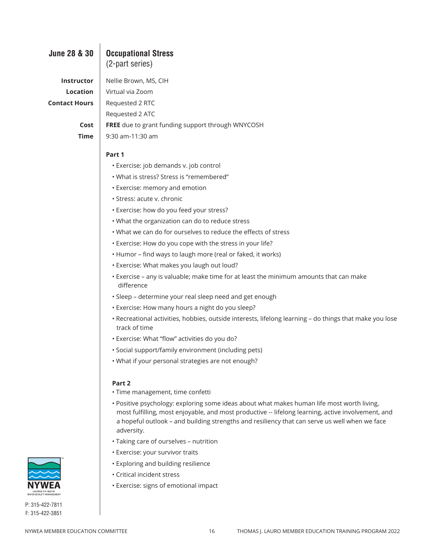# **June 28 & 30 Occupational Stress** (2-part series) **Contact Hours** | Requested 2 RTC

### **Instructor** Nellie Brown, MS, CIH **Location** Virtual via Zoom Requested 2 ATC **Cost FREE** due to grant funding support through WNYCOSH **Time** 9:30 am-11:30 am

### **Part 1**

- Exercise: job demands v. job control
- What is stress? Stress is "remembered"
- Exercise: memory and emotion
- Stress: acute v. chronic
- Exercise: how do you feed your stress?
- What the organization can do to reduce stress
- What we can do for ourselves to reduce the effects of stress
- Exercise: How do you cope with the stress in your life?
- Humor find ways to laugh more (real or faked, it works)
- Exercise: What makes you laugh out loud?
- Exercise any is valuable; make time for at least the minimum amounts that can make   difference
- Sleep determine your real sleep need and get enough
- Exercise: How many hours a night do you sleep?
- Recreational activities, hobbies, outside interests, lifelong learning do things that make you lose  track of time
- Exercise: What "flow" activities do you do?
- Social support/family environment (including pets)
- What if your personal strategies are not enough?

### **Part 2**

- Time management, time confetti
- Positive psychology: exploring some ideas about what makes human life most worth living,  most fulfilling, most enjoyable, and most productive -- lifelong learning, active involvement, and  a hopeful outlook – and building strengths and resiliency that can serve us well when we face  adversity.
- Taking care of ourselves nutrition
- Exercise: your survivor traits
- Exploring and building resilience
- Critical incident stress
- Exercise: signs of emotional impact

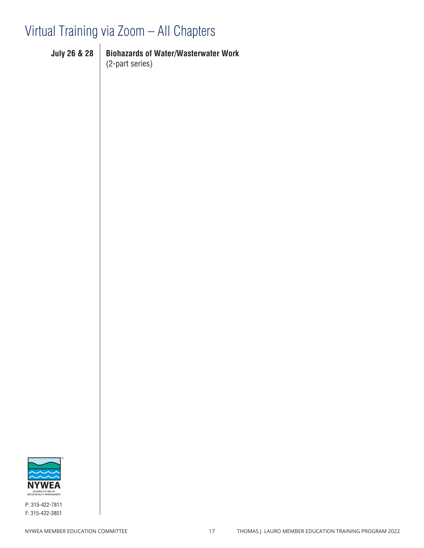**Instructor** Robert E. Wither, PE **Location** Virtual via Zoom

**Contact Hours** Requested 1.5 RTC (per webinar)

**Time** 12:30 pm-2:30 pm

**Cost** \$20,000 for both \$35 for both \$35 for both

| <b>July 26 &amp; 28</b> | <b>Biohazards of Water/Wasterwater Work</b> |
|-------------------------|---------------------------------------------|
|                         | $(2$ -part series)                          |

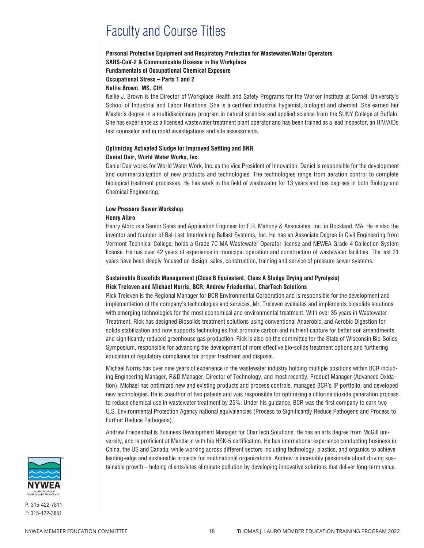# Faculty and Course Titles

### **Personal Protective Equipment and Respiratory Protection for Wastewater/Water Operators SARS-CoV-2 & Communicable Disease in the Workplace Fundamentals of Occupational Chemical Exposure Occupational Stress – Parts 1 and 2**

**Nellie Brown, MS, CIH**

Nellie J. Brown is the Director of Workplace Health and Safety Programs for the Worker Institute at Cornell University's School of Industrial and Labor Relations. She is a certified industrial hygienist, biologist and chemist. She earned her Master's degree in a multidisciplinary program in natural sciences and applied science from the SUNY College at Buffalo. She has experience as a licensed wastewater treatment plant operator and has been trained as a lead inspector, an HIV/AIDs test counselor and in mold investigations and site assessments.

### **Optimizing Activated Sludge for Improved Settling and BNR Daniel Dair, World Water Works, Inc.**

Daniel Dair works for World Water Work, Inc. as the Vice President of Innovation. Daniel is responsible for the development and commercialization of new products and technologies. The technologies range from aeration control to complete biological treatment processes. He has work in the field of wastewater for 13 years and has degrees in both Biology and Chemical Engineering.

### **Low Pressure Sewer Workshop Henry Albro**

Henry Albro is a Senior Sales and Application Engineer for F.R. Mahony & Associates, Inc. in Rockland, MA. He is also the inventor and founder of Bal-Last Interlocking Ballast Systems, Inc. He has an Associate Degree in Civil Engineering from Vermont Technical College, holds a Grade 7C MA Wastewater Operator license and NEWEA Grade 4 Collection System license. He has over 42 years of experience in municipal operation and construction of wastewater facilities. The last 21 years have been deeply focused on design, sales, construction, training and service of pressure sewer systems.

### **Sustainable Biosolids Management (Class B Equivalent, Class A Sludge Drying and Pyrolysis) Rick Treleven and Michael Norris, BCR; Andrew Friedenthal, CharTech Solutions**

Rick Treleven is the Regional Manager for BCR Environmental Corporation and is responsible for the development and implementation of the company's technologies and services. Mr. Treleven evaluates and implements biosolids solutions with emerging technologies for the most economical and environmental treatment. With over 35 years in Wastewater Treatment, Rick has designed Biosolids treatment solutions using conventional Anaerobic, and Aerobic Digestion for solids stabilization and now supports technologies that promote carbon and nutrient capture for better soil amendments and significantly reduced greenhouse gas production. Rick is also on the committee for the State of Wisconsin Bio-Solids Symposium, responsible for advancing the development of more effective bio-solids treatment options and furthering education of regulatory compliance for proper treatment and disposal.

Michael Norris has over nine years of experience in the wastewater industry holding multiple positions within BCR including Engineering Manager, R&D Manager, Director of Technology, and most recently, Product Manager (Advanced Oxidation). Michael has optimized new and existing products and process controls, managed BCR's IP portfolio, and developed new technologies. He is coauthor of two patents and was responsible for optimizing a chlorine dioxide generation process to reduce chemical use in wastewater treatment by 25%. Under his guidance, BCR was the first company to earn two U.S. Environmental Protection Agency national equivalencies (Process to Significantly Reduce Pathogens and Process to Further Reduce Pathogens).

Andrew Friedenthal is Business Development Manager for CharTech Solutions. He has an arts degree from McGill university, and is proficient at Mandarin with his HSK-5 certification. He has international experience conducting business in China, the US and Canada, while working across different sectors including technology, plastics, and organics to achieve leading-edge and sustainable projects for multinational organizations. Andrew is incredibly passionate about driving sustainable growth – helping clients/sites eliminate pollution by developing innovative solutions that deliver long-term value.

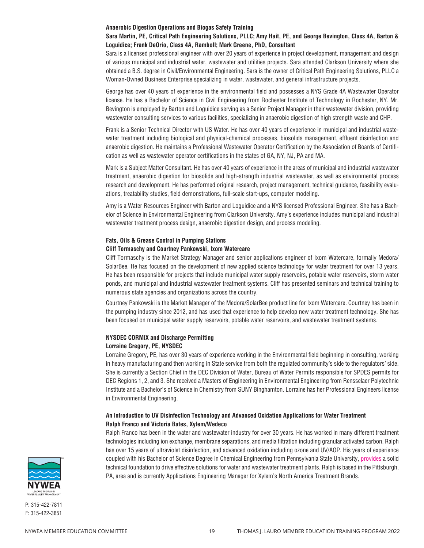#### **Anaerobic Digestion Operations and Biogas Safety Training**

### **Sara Martin, PE, Critical Path Engineering Solutions, PLLC; Amy Hait, PE, and George Bevington, Class 4A, Barton & Loguidice; Frank DeOrio, Class 4A, Ramboll; Mark Greene, PhD, Consultant**

Sara is a licensed professional engineer with over 20 years of experience in project development, management and design of various municipal and industrial water, wastewater and utilities projects. Sara attended Clarkson University where she obtained a B.S. degree in Civil/Environmental Engineering. Sara is the owner of Critical Path Engineering Solutions, PLLC a Woman-Owned Business Enterprise specializing in water, wastewater, and general infrastructure projects.

George has over 40 years of experience in the environmental field and possesses a NYS Grade 4A Wastewater Operator license. He has a Bachelor of Science in Civil Engineering from Rochester Institute of Technology in Rochester, NY. Mr. Bevington is employed by Barton and Loguidice serving as a Senior Project Manager in their wastewater division, providing wastewater consulting services to various facilities, specializing in anaerobic digestion of high strength waste and CHP.

Frank is a Senior Technical Director with US Water. He has over 40 years of experience in municipal and industrial wastewater treatment including biological and physical-chemical processes, biosolids management, effluent disinfection and anaerobic digestion. He maintains a Professional Wastewater Operator Certification by the Association of Boards of Certification as well as wastewater operator certifications in the states of GA, NY, NJ, PA and MA.

Mark is a Subject Matter Consultant. He has over 40 years of experience in the areas of municipal and industrial wastewater treatment, anaerobic digestion for biosolids and high-strength industrial wastewater, as well as environmental process research and development. He has performed original research, project management, technical guidance, feasibility evaluations, treatability studies, field demonstrations, full-scale start-ups, computer modeling.

Amy is a Water Resources Engineer with Barton and Loguidice and a NYS licensed Professional Engineer. She has a Bachelor of Science in Environmental Engineering from Clarkson University. Amy's experience includes municipal and industrial wastewater treatment process design, anaerobic digestion design, and process modeling.

### **Fats, Oils & Grease Control in Pumping Stations**

### **Cliff Tormaschy and Courtney Pankowski, Ixom Watercare**

Cliff Tormaschy is the Market Strategy Manager and senior applications engineer of Ixom Watercare, formally Medora/ SolarBee. He has focused on the development of new applied science technology for water treatment for over 13 years. He has been responsible for projects that include municipal water supply reservoirs, potable water reservoirs, storm water ponds, and municipal and industrial wastewater treatment systems. Cliff has presented seminars and technical training to numerous state agencies and organizations across the country.

Courtney Pankowski is the Market Manager of the Medora/SolarBee product line for Ixom Watercare. Courtney has been in the pumping industry since 2012, and has used that experience to help develop new water treatment technology. She has been focused on municipal water supply reservoirs, potable water reservoirs, and wastewater treatment systems.

### **NYSDEC CORMIX and Discharge Permitting Lorraine Gregory, PE, NYSDEC**

Lorraine Gregory, PE, has over 30 years of experience working in the Environmental field beginning in consulting, working in heavy manufacturing and then working in State service from both the regulated community's side to the regulators' side. She is currently a Section Chief in the DEC Division of Water, Bureau of Water Permits responsible for SPDES permits for DEC Regions 1, 2, and 3. She received a Masters of Engineering in Environmental Engineering from Rensselaer Polytechnic Institute and a Bachelor's of Science in Chemistry from SUNY Binghamton. Lorraine has her Professional Engineers license in Environmental Engineering.

### **An Introduction to UV Disinfection Technology and Advanced Oxidation Applications for Water Treatment Ralph Franco and Victoria Bates, Xylem/Wedeco**

Ralph Franco has been in the water and wastewater industry for over 30 years. He has worked in many different treatment technologies including ion exchange, membrane separations, and media filtration including granular activated carbon. Ralph has over 15 years of ultraviolet disinfection, and advanced oxidation including ozone and UV/AOP. His years of experience coupled with his Bachelor of Science Degree in Chemical Engineering from Pennsylvania State University, provides a solid technical foundation to drive effective solutions for water and wastewater treatment plants. Ralph is based in the Pittsburgh, PA, area and is currently Applications Engineering Manager for Xylem's North America Treatment Brands.